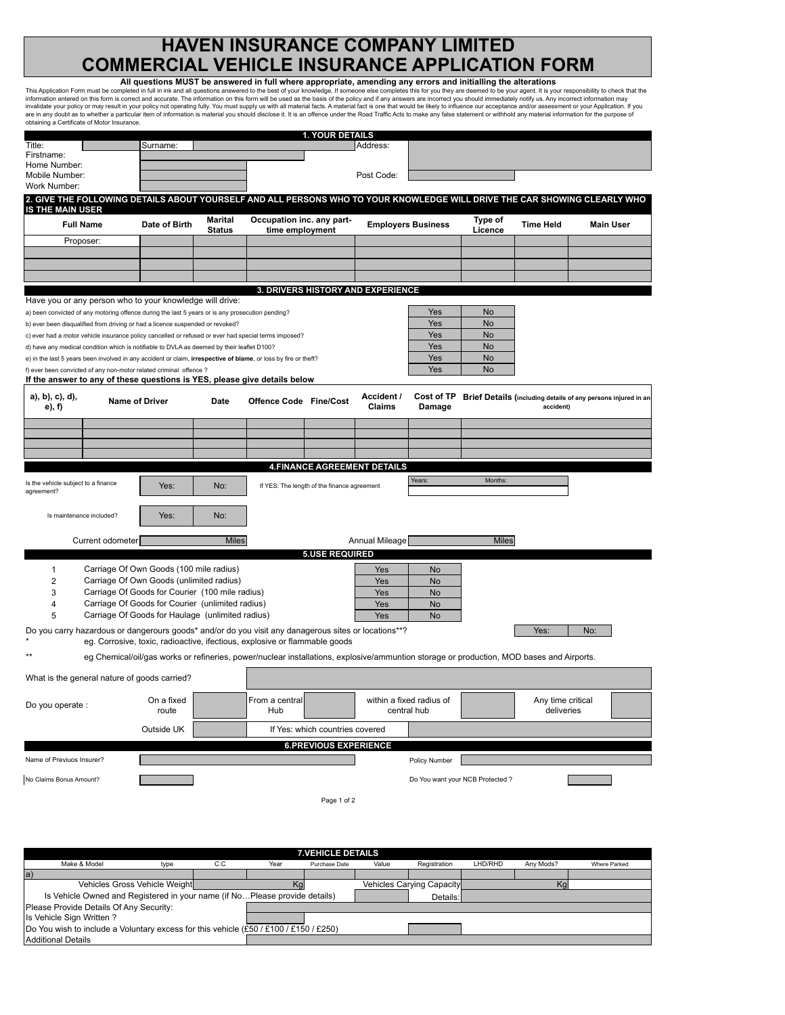## **HAVEN INSURANCE COMPANY LIMITED COMMERCIAL VEHICLE INSURANCE APPLICATION FORM**

| This Application Form must be completed in full in ink and all questions answered to the best of your knowledge. If someone else completes this for you they are deemed to be your agent. It is your responsibility to check t                                                                                                                                                                                                                                   | All questions MUST be answered in full where appropriate, amending any errors and initialling the alterations                            |                                 |                                              |                                             |                                     |                                         |                                 |                                 |                                                               |
|------------------------------------------------------------------------------------------------------------------------------------------------------------------------------------------------------------------------------------------------------------------------------------------------------------------------------------------------------------------------------------------------------------------------------------------------------------------|------------------------------------------------------------------------------------------------------------------------------------------|---------------------------------|----------------------------------------------|---------------------------------------------|-------------------------------------|-----------------------------------------|---------------------------------|---------------------------------|---------------------------------------------------------------|
| information entered on this form is correct and accurate. The information on this form will be used as the basis of the policy and if any answers are incorrect you should immediately notify us. Any incorrect information ma<br>invalidate your policy or may result in your policy not operating fully. You must supply us with all material facts. A material fact is one that would be likely to influence our acceptance and/or assessment or your Applica |                                                                                                                                          |                                 |                                              |                                             |                                     |                                         |                                 |                                 |                                                               |
| are in any doubt as to whether a particular item of information is material you should disclose it. It is an offence under the Road Traffic Acts to make any false statement or withhold any material information for the purp<br>obtaining a Certificate of Motor Insurance.                                                                                                                                                                                    |                                                                                                                                          |                                 |                                              |                                             |                                     |                                         |                                 |                                 |                                                               |
|                                                                                                                                                                                                                                                                                                                                                                                                                                                                  |                                                                                                                                          |                                 |                                              | <b>1. YOUR DETAILS</b>                      |                                     |                                         |                                 |                                 |                                                               |
| Title:<br>Firstname:                                                                                                                                                                                                                                                                                                                                                                                                                                             | Surname:                                                                                                                                 |                                 |                                              |                                             | Address:                            |                                         |                                 |                                 |                                                               |
| Home Number:                                                                                                                                                                                                                                                                                                                                                                                                                                                     |                                                                                                                                          |                                 |                                              |                                             |                                     |                                         |                                 |                                 |                                                               |
| Mobile Number:<br>Work Number:                                                                                                                                                                                                                                                                                                                                                                                                                                   |                                                                                                                                          |                                 |                                              |                                             | Post Code:                          |                                         |                                 |                                 |                                                               |
| 2. GIVE THE FOLLOWING DETAILS ABOUT YOURSELF AND ALL PERSONS WHO TO YOUR KNOWLEDGE WILL DRIVE THE CAR SHOWING CLEARLY WHO                                                                                                                                                                                                                                                                                                                                        |                                                                                                                                          |                                 |                                              |                                             |                                     |                                         |                                 |                                 |                                                               |
| <b>IS THE MAIN USER</b>                                                                                                                                                                                                                                                                                                                                                                                                                                          |                                                                                                                                          |                                 |                                              |                                             |                                     |                                         |                                 |                                 |                                                               |
| <b>Full Name</b>                                                                                                                                                                                                                                                                                                                                                                                                                                                 | Date of Birth                                                                                                                            | <b>Marital</b><br><b>Status</b> | Occupation inc. any part-<br>time employment |                                             |                                     | <b>Employers Business</b>               | Type of<br>Licence              | <b>Time Held</b>                | <b>Main User</b>                                              |
| Proposer:                                                                                                                                                                                                                                                                                                                                                                                                                                                        |                                                                                                                                          |                                 |                                              |                                             |                                     |                                         |                                 |                                 |                                                               |
|                                                                                                                                                                                                                                                                                                                                                                                                                                                                  |                                                                                                                                          |                                 |                                              |                                             |                                     |                                         |                                 |                                 |                                                               |
|                                                                                                                                                                                                                                                                                                                                                                                                                                                                  |                                                                                                                                          |                                 |                                              |                                             |                                     |                                         |                                 |                                 |                                                               |
|                                                                                                                                                                                                                                                                                                                                                                                                                                                                  |                                                                                                                                          |                                 |                                              |                                             | 3. DRIVERS HISTORY AND EXPERIENCE   |                                         |                                 |                                 |                                                               |
| Have you or any person who to your knowledge will drive:                                                                                                                                                                                                                                                                                                                                                                                                         |                                                                                                                                          |                                 |                                              |                                             |                                     |                                         |                                 |                                 |                                                               |
| a) been convicted of any motoring offence during the last 5 years or is any prosecution pending?                                                                                                                                                                                                                                                                                                                                                                 |                                                                                                                                          |                                 |                                              |                                             |                                     | Yes<br>Yes                              | <b>No</b><br><b>No</b>          |                                 |                                                               |
| b) ever been disqualified from driving or had a licence suspended or revoked?<br>c) ever had a motor vehicle insurance policy cancelled or refused or ever had special terms imposed?                                                                                                                                                                                                                                                                            |                                                                                                                                          |                                 |                                              |                                             |                                     | Yes                                     | <b>No</b>                       |                                 |                                                               |
| d) have any medical condition which is notifiable to DVLA as deemed by their leaflet D100?                                                                                                                                                                                                                                                                                                                                                                       |                                                                                                                                          |                                 |                                              |                                             |                                     | Yes                                     | <b>No</b>                       |                                 |                                                               |
| e) in the last 5 years been involved in any accident or claim, irrespective of blame, or loss by fire or theft?                                                                                                                                                                                                                                                                                                                                                  |                                                                                                                                          |                                 |                                              |                                             |                                     | Yes                                     | <b>No</b>                       |                                 |                                                               |
| f) ever been convicted of any non-motor related criminal offence ?                                                                                                                                                                                                                                                                                                                                                                                               |                                                                                                                                          |                                 |                                              |                                             |                                     | Yes                                     | <b>No</b>                       |                                 |                                                               |
| If the answer to any of these questions is YES, please give details below<br>a), b), c), d),                                                                                                                                                                                                                                                                                                                                                                     | <b>Name of Driver</b>                                                                                                                    | Date                            | Offence Code Fine/Cost                       |                                             | Accident /                          | Cost of TP                              |                                 |                                 | Brief Details (including details of any persons injured in an |
| e), f)                                                                                                                                                                                                                                                                                                                                                                                                                                                           |                                                                                                                                          |                                 |                                              |                                             | Claims                              | Damage                                  |                                 | accident)                       |                                                               |
|                                                                                                                                                                                                                                                                                                                                                                                                                                                                  |                                                                                                                                          |                                 |                                              |                                             |                                     |                                         |                                 |                                 |                                                               |
|                                                                                                                                                                                                                                                                                                                                                                                                                                                                  |                                                                                                                                          |                                 |                                              |                                             |                                     |                                         |                                 |                                 |                                                               |
|                                                                                                                                                                                                                                                                                                                                                                                                                                                                  |                                                                                                                                          |                                 |                                              |                                             |                                     |                                         |                                 |                                 |                                                               |
|                                                                                                                                                                                                                                                                                                                                                                                                                                                                  |                                                                                                                                          |                                 |                                              |                                             | <b>4. FINANCE AGREEMENT DETAILS</b> |                                         |                                 |                                 |                                                               |
| Is the vehicle subject to a finance<br>agreement?                                                                                                                                                                                                                                                                                                                                                                                                                | Yes:                                                                                                                                     | No:                             |                                              | If YES: The length of the finance agreement |                                     | Years:                                  | Months:                         |                                 |                                                               |
| Is maintenance included?                                                                                                                                                                                                                                                                                                                                                                                                                                         | Yes:                                                                                                                                     | No:                             |                                              |                                             |                                     |                                         |                                 |                                 |                                                               |
| Current odometer                                                                                                                                                                                                                                                                                                                                                                                                                                                 |                                                                                                                                          | <b>Miles</b>                    |                                              |                                             | Annual Mileage                      |                                         | <b>Miles</b>                    |                                 |                                                               |
|                                                                                                                                                                                                                                                                                                                                                                                                                                                                  |                                                                                                                                          |                                 |                                              | <b>5.USE REQUIRED</b>                       |                                     |                                         |                                 |                                 |                                                               |
| $\mathbf{1}$                                                                                                                                                                                                                                                                                                                                                                                                                                                     | Carriage Of Own Goods (100 mile radius)                                                                                                  |                                 |                                              |                                             | Yes                                 | No                                      |                                 |                                 |                                                               |
| $\overline{2}$                                                                                                                                                                                                                                                                                                                                                                                                                                                   | Carriage Of Own Goods (unlimited radius)                                                                                                 |                                 |                                              |                                             | Yes                                 | <b>No</b>                               |                                 |                                 |                                                               |
| 3<br>Carriage Of Goods for Courier (100 mile radius)<br>Carriage Of Goods for Courier (unlimited radius)                                                                                                                                                                                                                                                                                                                                                         |                                                                                                                                          |                                 |                                              |                                             | Yes                                 | <b>No</b>                               |                                 |                                 |                                                               |
| 4<br>5                                                                                                                                                                                                                                                                                                                                                                                                                                                           | Carriage Of Goods for Haulage (unlimited radius)                                                                                         |                                 |                                              |                                             | Yes<br>Yes                          | <b>No</b><br><b>No</b>                  |                                 |                                 |                                                               |
| Do you carry hazardous or dangerours goods* and/or do you visit any danagerous sites or locations**?                                                                                                                                                                                                                                                                                                                                                             |                                                                                                                                          |                                 |                                              |                                             |                                     |                                         |                                 | Yes:                            | No:                                                           |
|                                                                                                                                                                                                                                                                                                                                                                                                                                                                  | eg. Corrosive, toxic, radioactive, ifectious, explosive or flammable goods                                                               |                                 |                                              |                                             |                                     |                                         |                                 |                                 |                                                               |
|                                                                                                                                                                                                                                                                                                                                                                                                                                                                  | eg Chemical/oil/gas works or refineries, power/nuclear installations, explosive/ammuntion storage or production, MOD bases and Airports. |                                 |                                              |                                             |                                     |                                         |                                 |                                 |                                                               |
| What is the general nature of goods carried?                                                                                                                                                                                                                                                                                                                                                                                                                     |                                                                                                                                          |                                 |                                              |                                             |                                     |                                         |                                 |                                 |                                                               |
| Do you operate :                                                                                                                                                                                                                                                                                                                                                                                                                                                 | On a fixed<br>route                                                                                                                      |                                 | From a central<br>Hub                        |                                             |                                     | within a fixed radius of<br>central hub |                                 | Any time critical<br>deliveries |                                                               |
|                                                                                                                                                                                                                                                                                                                                                                                                                                                                  | Outside UK                                                                                                                               |                                 |                                              | If Yes: which countries covered             |                                     |                                         |                                 |                                 |                                                               |
|                                                                                                                                                                                                                                                                                                                                                                                                                                                                  |                                                                                                                                          |                                 |                                              | <b>6.PREVIOUS EXPERIENCE</b>                |                                     |                                         |                                 |                                 |                                                               |
| Name of Previuos Insurer?                                                                                                                                                                                                                                                                                                                                                                                                                                        |                                                                                                                                          |                                 |                                              |                                             |                                     | Policy Number                           |                                 |                                 |                                                               |
| No Claims Bonus Amount?                                                                                                                                                                                                                                                                                                                                                                                                                                          |                                                                                                                                          |                                 |                                              |                                             |                                     |                                         | Do You want your NCB Protected? |                                 |                                                               |
|                                                                                                                                                                                                                                                                                                                                                                                                                                                                  |                                                                                                                                          |                                 |                                              | Page 1 of 2                                 |                                     |                                         |                                 |                                 |                                                               |
|                                                                                                                                                                                                                                                                                                                                                                                                                                                                  |                                                                                                                                          |                                 |                                              |                                             |                                     |                                         |                                 |                                 |                                                               |

| <b>7. VEHICLE DETAILS</b>                                                             |      |     |      |               |                           |              |         |           |                     |  |
|---------------------------------------------------------------------------------------|------|-----|------|---------------|---------------------------|--------------|---------|-----------|---------------------|--|
| Make & Model                                                                          | type | C.C | Year | Purchase Date | Value                     | Registration | LHD/RHD | Any Mods? | <b>Where Parked</b> |  |
| la)                                                                                   |      |     |      |               |                           |              |         |           |                     |  |
| Vehicles Gross Vehicle Weight                                                         |      |     | Ko   |               | Vehicles Carying Capacity |              | κg      |           |                     |  |
| Is Vehicle Owned and Registered in your name (if NoPlease provide details)            |      |     |      |               |                           | Details:     |         |           |                     |  |
| Please Provide Details Of Any Security:                                               |      |     |      |               |                           |              |         |           |                     |  |
| Is Vehicle Sign Written?                                                              |      |     |      |               |                           |              |         |           |                     |  |
| Do You wish to include a Voluntary excess for this vehicle (£50 / £100 / £150 / £250) |      |     |      |               |                           |              |         |           |                     |  |
| Additional Details                                                                    |      |     |      |               |                           |              |         |           |                     |  |